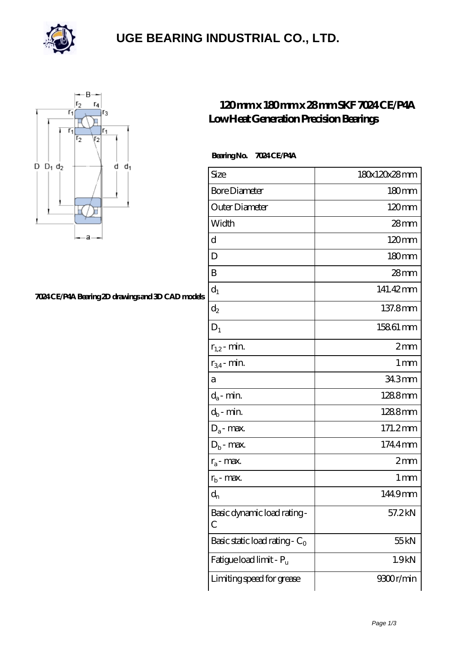

### **[UGE BEARING INDUSTRIAL CO., LTD.](https://m.rerkm.com)**



#### **[7024 CE/P4A Bearing 2D drawings and 3D CAD models](https://m.rerkm.com/pic-151853.html)**

### **[120 mm x 180 mm x 28 mm SKF 7024 CE/P4A](https://m.rerkm.com/bz-151853-skf-7024-ce-p4a-low-heat-generation-precision-bearings.html) [Low Heat Generation Precision Bearings](https://m.rerkm.com/bz-151853-skf-7024-ce-p4a-low-heat-generation-precision-bearings.html)**

#### **Bearing No. 7024 CE/P4A**

| Size                                | 180x120x28mm     |
|-------------------------------------|------------------|
| <b>Bore Diameter</b>                | 180mm            |
| Outer Diameter                      | $120 \text{mm}$  |
| Width                               | $28$ mm          |
| d                                   | $120 \text{mm}$  |
| D                                   | 180mm            |
| B                                   | 28mm             |
| $d_1$                               | 141.42mm         |
| $\mathrm{d}_2$                      | 137.8mm          |
| $D_1$                               | 15861 mm         |
| $r_{1,2}$ - min.                    | 2mm              |
| $r_{34}$ - min.                     | 1 <sub>mm</sub>  |
| а                                   | 34.3mm           |
| $d_a$ - min.                        | 1288mm           |
| $d_b$ - min.                        | 1288mm           |
| $D_a$ - max.                        | 171.2mm          |
| $D_b$ - max.                        | 1744mm           |
| $r_a$ - max.                        | 2mm              |
| $r_{b}$ - max.                      | 1 <sub>mm</sub>  |
| $d_n$                               | 1449mm           |
| Basic dynamic load rating-<br>С     | 57.2kN           |
| Basic static load rating - $C_0$    | 55 <sub>kN</sub> |
| Fatigue load limit - P <sub>u</sub> | 1.9kN            |
| Limiting speed for grease           | 9300r/min        |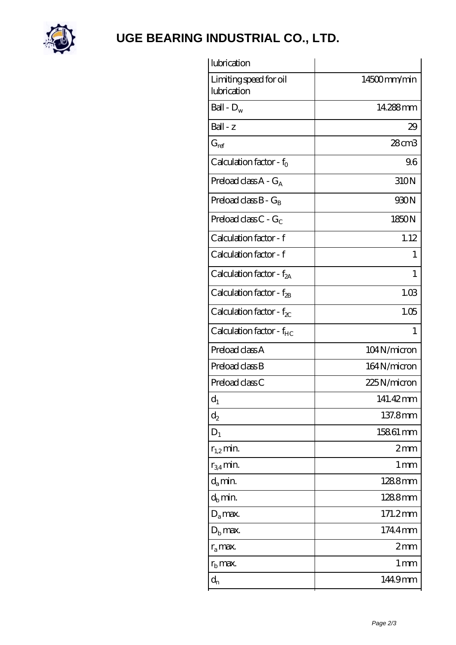

# **[UGE BEARING INDUSTRIAL CO., LTD.](https://m.rerkm.com)**

| lubrication                           |                 |
|---------------------------------------|-----------------|
| Limiting speed for oil<br>lubrication | 14500mm/min     |
| Ball - $D_w$                          | 14.288mm        |
| $Ball - z$                            | 29              |
| $G_{ref}$                             | $28$ cm $3$     |
| Calculation factor - $f_0$            | 96              |
| Preload class $A - G_A$               | 310N            |
| Preload class $B - G_B$               | 930N            |
| Preload class $C - G_C$               | 1850N           |
| Calculation factor - f                | 1.12            |
| Calculation factor - f                | 1               |
| Calculation factor - $f_{2A}$         | 1               |
| Calculation factor - $f_{2B}$         | 1.03            |
| Calculation factor - $f_{\chi}$       | 1.05            |
| Calculation factor - f <sub>HC</sub>  | 1               |
| Preload class A                       | 104N/micron     |
| Preload class B                       | 164N/micron     |
| Preload class C                       | 225N/micron     |
| $d_1$                                 | 141.42mm        |
| $d_2$                                 | 137.8mm         |
| $D_1$                                 | 15861 mm        |
| $r_{1,2}$ min.                        | 2mm             |
| $r_{34}$ min.                         | 1 <sub>mm</sub> |
| $d_a$ min.                            | 1288mm          |
| $d_b$ min.                            | 1288mm          |
| $D_a$ max.                            | 171.2mm         |
| $D_{b}$ max.                          | 1744mm          |
| $r_a$ max.                            | 2mm             |
| $r_{\rm b}$ max.                      | 1 mm            |
| $\mathrm{d}_{\mathrm{n}}$             | 1449mm          |
|                                       |                 |